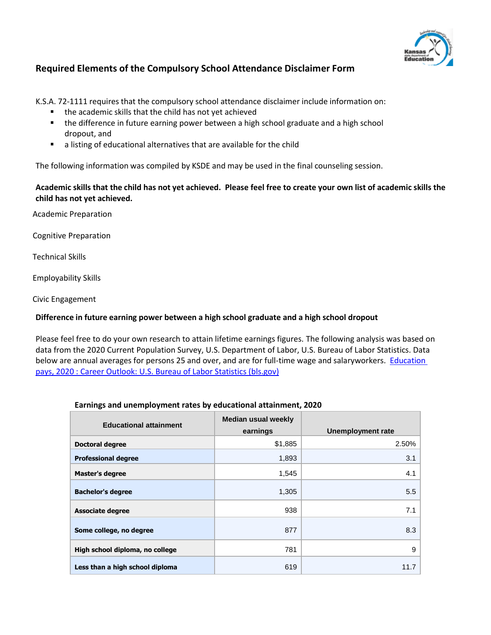

# **Required Elements of the Compulsory School Attendance Disclaimer Form**

K.S.A. 72-1111 requires that the compulsory school attendance disclaimer include information on:

- the academic skills that the child has not yet achieved
- the difference in future earning power between a high school graduate and a high school dropout, and
- a listing of educational alternatives that are available for the child

The following information was compiled by KSDE and may be used in the final counseling session.

## Academic skills that the child has not yet achieved. Please feel free to create your own list of academic skills the **child has not yet achieved.**

Academic Preparation

Cognitive Preparation

Technical Skills

Employability Skills

Civic Engagement

## **Difference in future earning power between a high school graduate and a high school dropout**

Please feel free to do your own research to attain lifetime earnings figures. The following analysis was based on data from the 2020 Current Population Survey, U.S. Department of Labor, U.S. Bureau of Labor Statistics. Data below are annual averages for persons 25 and over, and are for full-time wage and salaryworkers. **Education** [pays, 2020 : Career Outlook: U.S. Bureau of Labor Statistics \(bls.gov\)](https://www.bls.gov/careeroutlook/2021/data-on-display/education-pays.htm)

#### **Earnings and unemployment rates by educational attainment, 2020**

| <b>Educational attainment</b>   | <b>Median usual weekly</b><br>earnings | <b>Unemployment rate</b> |
|---------------------------------|----------------------------------------|--------------------------|
| <b>Doctoral degree</b>          | \$1,885                                | 2.50%                    |
| <b>Professional degree</b>      | 1,893                                  | 3.1                      |
| <b>Master's degree</b>          | 1,545                                  | 4.1                      |
| <b>Bachelor's degree</b>        | 1,305                                  | 5.5                      |
| <b>Associate degree</b>         | 938                                    | 7.1                      |
| Some college, no degree         | 877                                    | 8.3                      |
| High school diploma, no college | 781                                    | 9                        |
| Less than a high school diploma | 619                                    | 11.7                     |